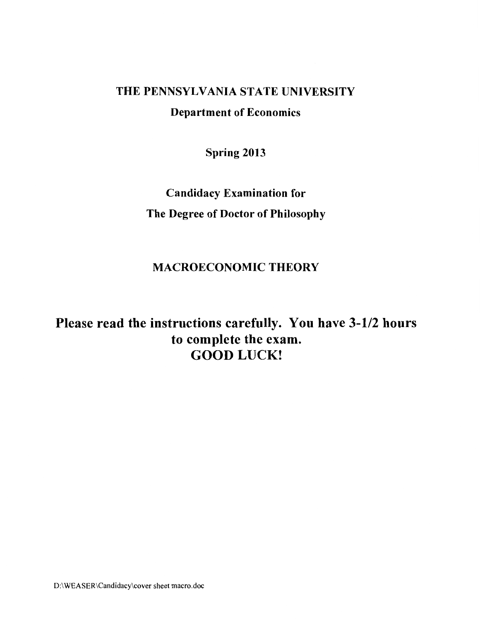### THE PENNSYLVANIA STATE UNIVERSITY

Department of Economics

Spring 2013

Candidacy Examination for The Degree of Doctor of Philosophy

## MACROECONOMIC THEORY

# Please read the instructions carefully. You have 3-1/2 hours to complete the exam. GOOD LUCK!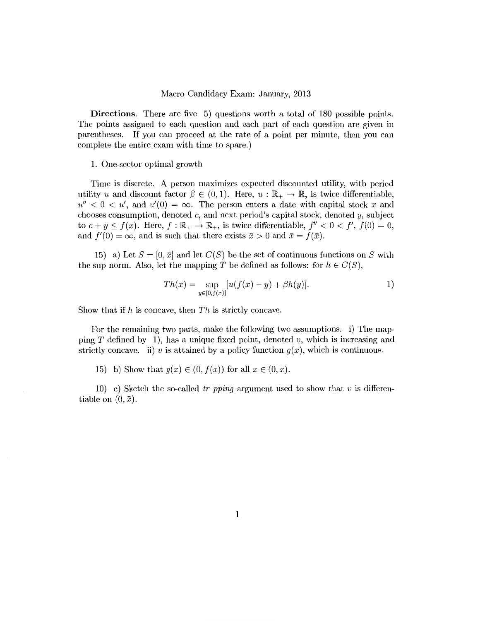Directions. There are five 5) questions worth a total of 180 possible points. The points assigned to each question and each part of each question are given in parentheses. If you can proceed at the rate of a point per minute, then you can complete the entire exam with time to spare.)

#### 1. One-sector optimal growth

Time is discrete. A person maximizes expected discounted utility, with period utility u and discount factor  $\beta \in (0, 1)$ . Here,  $u : \mathbb{R}_+ \to \mathbb{R}$ , is twice differentiable,  $u'' < 0 < u'$ , and  $u'(0) = \infty$ . The person enters a date with capital stock x and chooses consumption, denoted c, and next period's capital stock, denoted *y,* subject to  $c + y \le f(x)$ . Here,  $f : \mathbb{R}_+ \to \mathbb{R}_+$ , is twice differentiable,  $f'' < 0 < f'$ ,  $f(0) = 0$ , and  $f'(0) = \infty$ , and is such that there exists  $\bar{x} > 0$  and  $\bar{x} = f(\bar{x})$ .

15) a) Let  $S = [0, \bar{x}]$  and let  $C(S)$  be the set of continuous functions on S with the sup norm. Also, let the mapping T be defined as follows: for  $h \in C(S)$ ,

$$
Th(x) = \sup_{y \in [0, f(x)]} [u(f(x) - y) + \beta h(y)].
$$
 1)

Show that if *h* is concave, then *Th* is strictly concave.

For the remaining two parts, make the following two assumptions. i) The mapping T defined by 1), has a unique fixed point, denoted *v,* which is increasing and strictly concave. ii) v is attained by a policy function  $g(x)$ , which is continuous.

15) b) Show that  $g(x) \in (0, f(x))$  for all  $x \in (0, \bar{x})$ .

10) c) Sketch the so-called tr pping argument used to show that  $v$  is differentiable on  $(0, \bar{x})$ .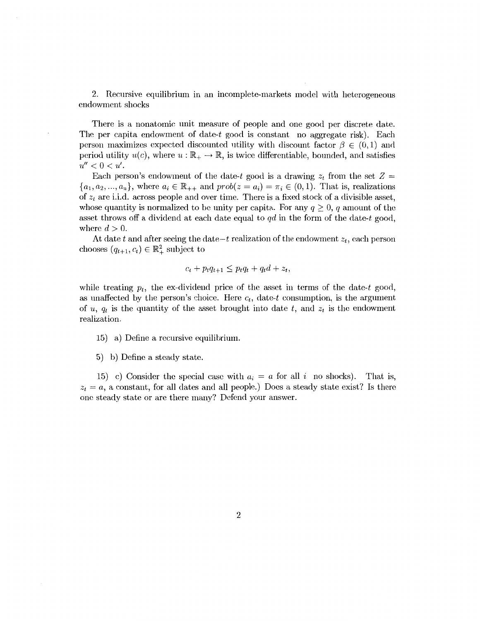2. Recursive equilibrium in an incomplete-markets model with heterogeneous endowment shocks

There is a nonatomic unit measure of people and one good per discrete date. The per capita endowment of date-t good is constant no aggregate risk). Each person maximizes expected discounted utility with discount factor  $\beta \in (0, 1)$  and period utility  $u(c)$ , where  $u:\mathbb{R}_+ \to \mathbb{R}$ , is twice differentiable, bounded, and satisfies  $u'' < 0 < u'$ .

Each person's endowment of the date-t good is a drawing  $z_t$  from the set  $Z =$  ${a_1, a_2, ..., a_n}$ , where  $a_i \in \mathbb{R}_{++}$  and  $prob(z = a_i) = \pi_i \in (0, 1)$ . That is, realizations of  $z_t$  are i.i.d. across people and over time. There is a fixed stock of a divisible asset, whose quantity is normalized to be unity per capita. For any  $q \geq 0$ , q amount of the asset throws off a dividend at each date equal to *qd* in the form of the date-t good, where  $d > 0$ .

At date  $t$  and after seeing the date $-t$  realization of the endowment  $z_t$ , each person chooses  $(q_{t+1}, c_t) \in \mathbb{R}^2_+$  subject to

$$
c_t + p_t q_{t+1} \leq p_t q_t + q_t d + z_t,
$$

while treating  $p_t$ , the ex-dividend price of the asset in terms of the date-t good, as unaffected by the person's choice. Here  $c_t$ , date-t consumption, is the argument of *u, q<sub>t</sub>* is the quantity of the asset brought into date *t*, and  $z_t$  is the endowment realization.

15) a) Define a recursive equilibrium.

5) b) Define a steady state.

15) c) Consider the special case with  $a_i = a$  for all i no shocks). That is,  $z_t = a$ , a constant, for all dates and all people.) Does a steady state exist? Is there one steady state or are there many? Defend your answer.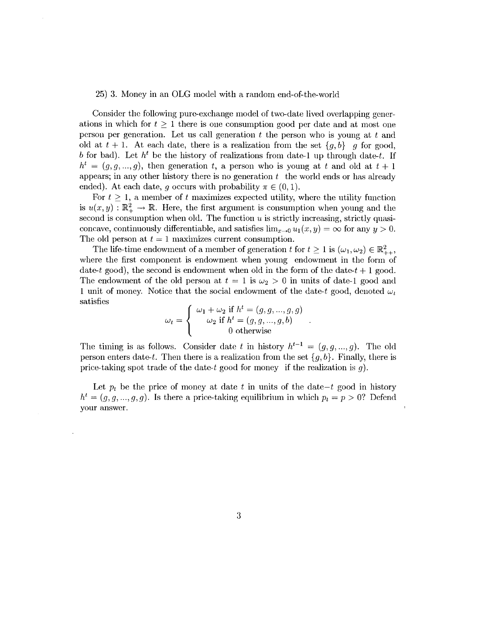#### 25) 3. Money in an OLG model with a random end-of-the-world

Consider the following pure-exchange model of two-date lived overlapping generations in which for  $t \geq 1$  there is one consumption good per date and at most one person per generation. Let us call generation *t* the person who is young at *t* and old at  $t + 1$ . At each date, there is a realization from the set  $\{g, b\}$  g for good, *b* for bad). Let  $h^t$  be the history of realizations from date-1 up through date-t. If  $h^{t} = (g, g, ..., g)$ , then generation *t*, a person who is young at *t* and old at  $t + 1$ appears; in any other history there is no generation *t* the world ends or has already ended). At each date, q occurs with probability  $\pi \in (0,1)$ .

For  $t \geq 1$ , a member of t maximizes expected utility, where the utility function is  $u(x, y) : \mathbb{R}_+^2 \to \mathbb{R}$ . Here, the first argument is consumption when young and the second is consumption when old. The function  $u$  is strictly increasing, strictly quasiconcave, continuously differentiable, and satisfies  $\lim_{x\to 0} u_1(x, y) = \infty$  for any  $y > 0$ . The old person at  $t = 1$  maximizes current consumption.

The life-time endowment of a member of generation t for  $t \geq 1$  is  $(\omega_1, \omega_2) \in \mathbb{R}^2_{++}$ . where the first component is endowment when young endowment in the form of date-t good), the second is endowment when old in the form of the date- $t + 1$  good. The endowment of the old person at  $t = 1$  is  $\omega_2 > 0$  in units of date-1 good and 1 unit of money. Notice that the social endowment of the date-t good, denoted  $\omega_t$ satisfies

$$
\omega_t = \begin{cases}\n\omega_1 + \omega_2 \text{ if } h^t = (g, g, ..., g, g) \\
\omega_2 \text{ if } h^t = (g, g, ..., g, b) \\
0 \text{ otherwise}\n\end{cases}.
$$

The timing is as follows. Consider date *t* in history  $h^{t-1} = (g, g, ..., g)$ . The old person enters date-t. Then there is a realization from the set  ${g, b}$ . Finally, there is price-taking spot trade of the date-t good for money if the realization is q.

Let  $p_t$  be the price of money at date  $t$  in units of the date-t good in history  $h^t = (g, g, ..., g, g)$ . Is there a price-taking equilibrium in which  $p_t = p > 0$ ? Defend your answer.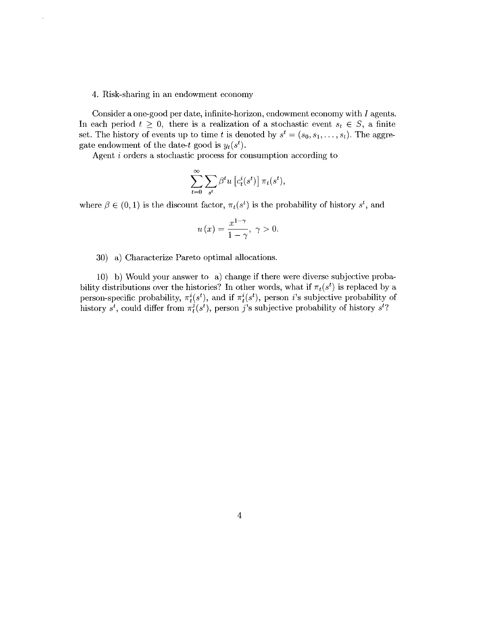#### 4. Risk-sharing in an endowment economy

Consider a one-good per date, infinite-horizon, endowment economy with I agents. In each period  $t \geq 0$ , there is a realization of a stochastic event  $s_t \in S$ , a finite set. The history of events up to time t is denoted by  $s^t = (s_0, s_1, \ldots, s_t)$ . The aggregate endowment of the date-t good is  $y_t(s^t)$ .

Agent i orders a stochastic process for consumption according to

$$
\sum_{t=0}^{\infty} \sum_{s^t} \beta^t u \left[ c_t^i(s^t) \right] \pi_t(s^t),
$$

where  $\beta \in (0, 1)$  is the discount factor,  $\pi_t(s^t)$  is the probability of history  $s^t$ , and

$$
u(x) = \frac{x^{1-\gamma}}{1-\gamma}, \ \gamma > 0.
$$

30) a) Characterize Pareto optimal allocations.

10) b) Would your answer to a) change if there were diverse subjective probability distributions over the histories? In other words, what if  $\pi_t(s^t)$  is replaced by a person-specific probability,  $\pi_t^i(s^t)$ , and if  $\pi_t^i(s^t)$ , person *i*'s subjective probability of history  $s^t$ , could differ from  $\pi_t^j(s^t)$ , person *j*'s subjective probability of history  $s^t$ ?